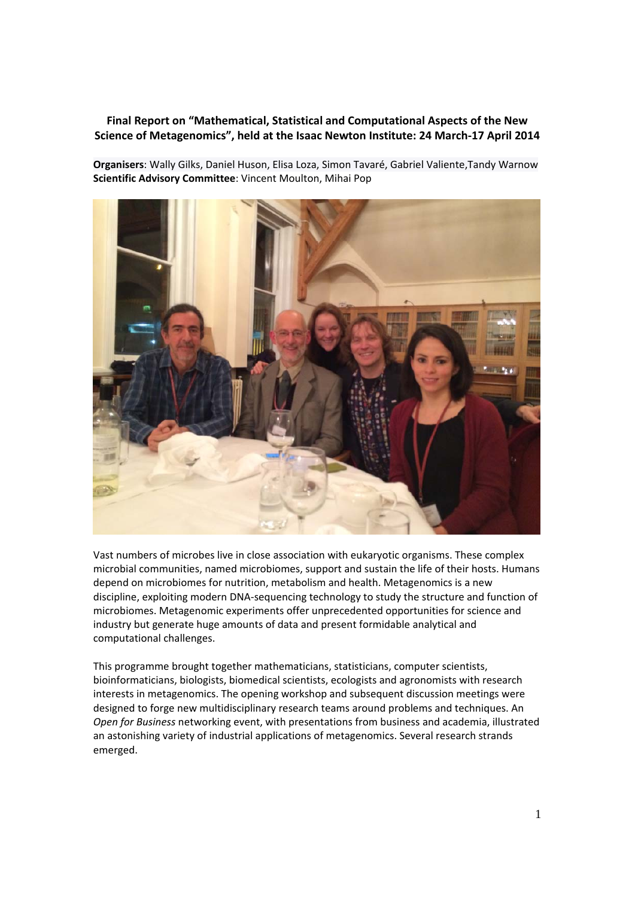## **Final Report on "Mathematical, Statistical and Computational Aspects of the New Science of Metagenomics", held at the Isaac Newton Institute: 24 March‐17 April 2014**

**Organisers**: Wally Gilks, Daniel Huson, Elisa Loza, Simon Tavaré, Gabriel Valiente,Tandy Warnow **Scientific Advisory Committee**: Vincent Moulton, Mihai Pop



Vast numbers of microbes live in close association with eukaryotic organisms. These complex microbial communities, named microbiomes, support and sustain the life of their hosts. Humans depend on microbiomes for nutrition, metabolism and health. Metagenomics is a new discipline, exploiting modern DNA‐sequencing technology to study the structure and function of microbiomes. Metagenomic experiments offer unprecedented opportunities for science and industry but generate huge amounts of data and present formidable analytical and computational challenges.

This programme brought together mathematicians, statisticians, computer scientists, bioinformaticians, biologists, biomedical scientists, ecologists and agronomists with research interests in metagenomics. The opening workshop and subsequent discussion meetings were designed to forge new multidisciplinary research teams around problems and techniques. An *Open for Business* networking event, with presentations from business and academia, illustrated an astonishing variety of industrial applications of metagenomics. Several research strands emerged.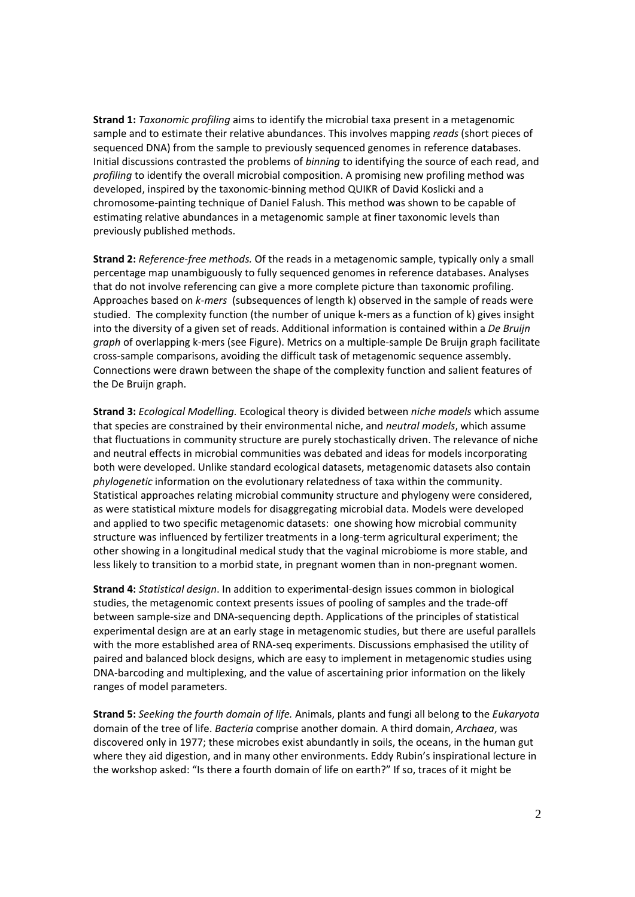**Strand 1:** *Taxonomic profiling* aims to identify the microbial taxa present in a metagenomic sample and to estimate their relative abundances. This involves mapping *reads* (short pieces of sequenced DNA) from the sample to previously sequenced genomes in reference databases. Initial discussions contrasted the problems of *binning* to identifying the source of each read, and *profiling* to identify the overall microbial composition. A promising new profiling method was developed, inspired by the taxonomic‐binning method QUIKR of David Koslicki and a chromosome‐painting technique of Daniel Falush. This method was shown to be capable of estimating relative abundances in a metagenomic sample at finer taxonomic levels than previously published methods.

**Strand 2:** *Reference‐free methods.* Of the reads in a metagenomic sample, typically only a small percentage map unambiguously to fully sequenced genomes in reference databases. Analyses that do not involve referencing can give a more complete picture than taxonomic profiling. Approaches based on *k‐mers* (subsequences of length k) observed in the sample of reads were studied. The complexity function (the number of unique k-mers as a function of k) gives insight into the diversity of a given set of reads. Additional information is contained within a *De Bruijn graph* of overlapping k‐mers (see Figure). Metrics on a multiple‐sample De Bruijn graph facilitate cross‐sample comparisons, avoiding the difficult task of metagenomic sequence assembly. Connections were drawn between the shape of the complexity function and salient features of the De Bruijn graph.

**Strand 3:** *Ecological Modelling.* Ecological theory is divided between *niche models* which assume that species are constrained by their environmental niche, and *neutral models*, which assume that fluctuations in community structure are purely stochastically driven. The relevance of niche and neutral effects in microbial communities was debated and ideas for models incorporating both were developed. Unlike standard ecological datasets, metagenomic datasets also contain *phylogenetic* information on the evolutionary relatedness of taxa within the community. Statistical approaches relating microbial community structure and phylogeny were considered, as were statistical mixture models for disaggregating microbial data. Models were developed and applied to two specific metagenomic datasets: one showing how microbial community structure was influenced by fertilizer treatments in a long‐term agricultural experiment; the other showing in a longitudinal medical study that the vaginal microbiome is more stable, and less likely to transition to a morbid state, in pregnant women than in non-pregnant women.

**Strand 4:** *Statistical design*. In addition to experimental‐design issues common in biological studies, the metagenomic context presents issues of pooling of samples and the trade‐off between sample‐size and DNA‐sequencing depth. Applications of the principles of statistical experimental design are at an early stage in metagenomic studies, but there are useful parallels with the more established area of RNA‐seq experiments. Discussions emphasised the utility of paired and balanced block designs, which are easy to implement in metagenomic studies using DNA‐barcoding and multiplexing, and the value of ascertaining prior information on the likely ranges of model parameters.

**Strand 5:** *Seeking the fourth domain of life.* Animals, plants and fungi all belong to the *Eukaryota* domain of the tree of life. *Bacteria* comprise another domain*.* A third domain, *Archaea*, was discovered only in 1977; these microbes exist abundantly in soils, the oceans, in the human gut where they aid digestion, and in many other environments. Eddy Rubin's inspirational lecture in the workshop asked: "Is there a fourth domain of life on earth?" If so, traces of it might be